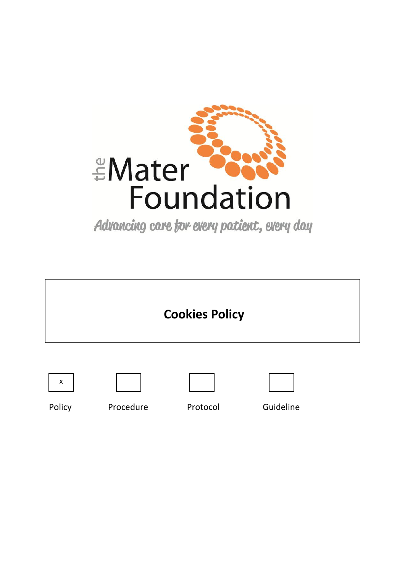

Advancing care for every patient, every day











Policy Procedure Protocol Guideline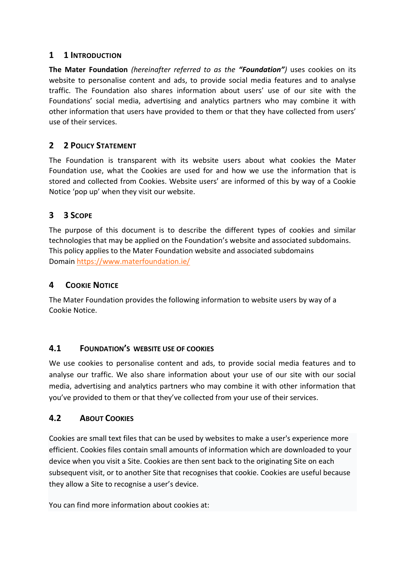### **1 1 INTRODUCTION**

**The Mater Foundation** *(hereinafter referred to as the "Foundation")* uses cookies on its website to personalise content and ads, to provide social media features and to analyse traffic. The Foundation also shares information about users' use of our site with the Foundations' social media, advertising and analytics partners who may combine it with other information that users have provided to them or that they have collected from users' use of their services.

# **2 2 POLICY STATEMENT**

The Foundation is transparent with its website users about what cookies the Mater Foundation use, what the Cookies are used for and how we use the information that is stored and collected from Cookies. Website users' are informed of this by way of a Cookie Notice 'pop up' when they visit our website.

# **3 3 SCOPE**

The purpose of this document is to describe the different types of cookies and similar technologies that may be applied on the Foundation's website and associated subdomains. This policy applies to the Mater Foundation website and associated subdomains Domain<https://www.materfoundation.ie/>

# **4 COOKIE NOTICE**

The Mater Foundation provides the following information to website users by way of a Cookie Notice.

### **4.1 FOUNDATION'S WEBSITE USE OF COOKIES**

We use cookies to personalise content and ads, to provide social media features and to analyse our traffic. We also share information about your use of our site with our social media, advertising and analytics partners who may combine it with other information that you've provided to them or that they've collected from your use of their services.

### **4.2 ABOUT COOKIES**

Cookies are small text files that can be used by websites to make a user's experience more efficient. Cookies files contain small amounts of information which are downloaded to your device when you visit a Site. Cookies are then sent back to the originating Site on each subsequent visit, or to another Site that recognises that cookie. Cookies are useful because they allow a Site to recognise a user's device.

You can find more information about cookies at: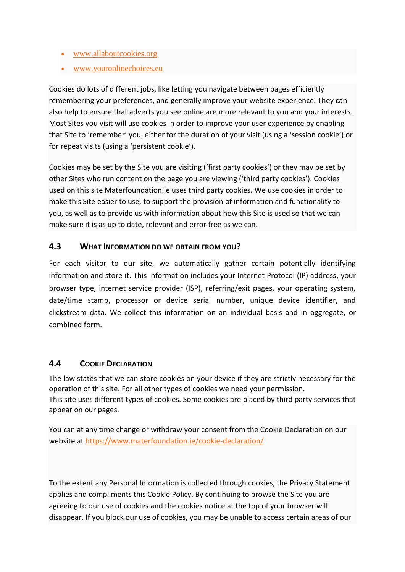- [www.allaboutcookies.org](https://www.allaboutcookies.org/)
- [www.youronlinechoices.eu](https://www.youronlinechoices.eu/)

Cookies do lots of different jobs, like letting you navigate between pages efficiently remembering your preferences, and generally improve your website experience. They can also help to ensure that adverts you see online are more relevant to you and your interests. Most Sites you visit will use cookies in order to improve your user experience by enabling that Site to 'remember' you, either for the duration of your visit (using a 'session cookie') or for repeat visits (using a 'persistent cookie').

Cookies may be set by the Site you are visiting ('first party cookies') or they may be set by other Sites who run content on the page you are viewing ('third party cookies'). Cookies used on this site Materfoundation.ie uses third party cookies. We use cookies in order to make this Site easier to use, to support the provision of information and functionality to you, as well as to provide us with information about how this Site is used so that we can make sure it is as up to date, relevant and error free as we can.

### **4.3 WHAT INFORMATION DO WE OBTAIN FROM YOU?**

For each visitor to our site, we automatically gather certain potentially identifying information and store it. This information includes your Internet Protocol (IP) address, your browser type, internet service provider (ISP), referring/exit pages, your operating system, date/time stamp, processor or device serial number, unique device identifier, and clickstream data. We collect this information on an individual basis and in aggregate, or combined form.

#### **4.4 COOKIE DECLARATION**

The law states that we can store cookies on your device if they are strictly necessary for the operation of this site. For all other types of cookies we need your permission. This site uses different types of cookies. Some cookies are placed by third party services that appear on our pages.

You can at any time change or withdraw your consent from the Cookie Declaration on our website at<https://www.materfoundation.ie/cookie-declaration/>

To the extent any Personal Information is collected through cookies, the Privacy Statement applies and compliments this Cookie Policy. By continuing to browse the Site you are agreeing to our use of cookies and the cookies notice at the top of your browser will disappear. If you block our use of cookies, you may be unable to access certain areas of our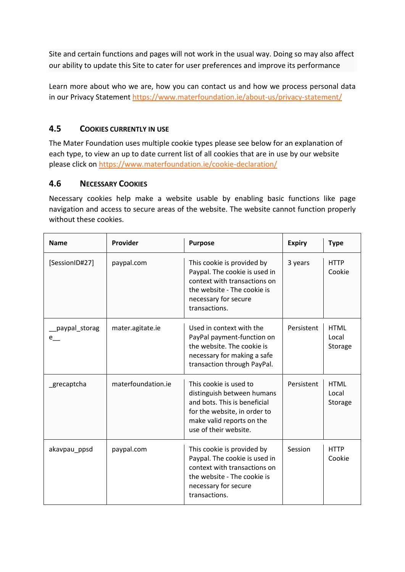Site and certain functions and pages will not work in the usual way. Doing so may also affect our ability to update this Site to cater for user preferences and improve its performance

Learn more about who we are, how you can contact us and how we process personal data in our Privacy Statement <https://www.materfoundation.ie/about-us/privacy-statement/>

### **4.5 COOKIES CURRENTLY IN USE**

The Mater Foundation uses multiple cookie types please see below for an explanation of each type, to view an up to date current list of all cookies that are in use by our website please click on <https://www.materfoundation.ie/cookie-declaration/>

### **4.6 NECESSARY COOKIES**

Necessary cookies help make a website usable by enabling basic functions like page navigation and access to secure areas of the website. The website cannot function properly without these cookies.

| <b>Name</b>          | Provider           | <b>Purpose</b>                                                                                                                                                             | <b>Expiry</b> | <b>Type</b>                     |
|----------------------|--------------------|----------------------------------------------------------------------------------------------------------------------------------------------------------------------------|---------------|---------------------------------|
| [SessionID#27]       | paypal.com         | This cookie is provided by<br>Paypal. The cookie is used in<br>context with transactions on<br>the website - The cookie is<br>necessary for secure<br>transactions.        | 3 years       | <b>HTTP</b><br>Cookie           |
| paypal_storag<br>e — | mater.agitate.ie   | Used in context with the<br>PayPal payment-function on<br>the website. The cookie is<br>necessary for making a safe<br>transaction through PayPal.                         | Persistent    | <b>HTML</b><br>Local<br>Storage |
| grecaptcha           | materfoundation.ie | This cookie is used to<br>distinguish between humans<br>and bots. This is beneficial<br>for the website, in order to<br>make valid reports on the<br>use of their website. | Persistent    | <b>HTML</b><br>Local<br>Storage |
| akavpau_ppsd         | paypal.com         | This cookie is provided by<br>Paypal. The cookie is used in<br>context with transactions on<br>the website - The cookie is<br>necessary for secure<br>transactions.        | Session       | <b>HTTP</b><br>Cookie           |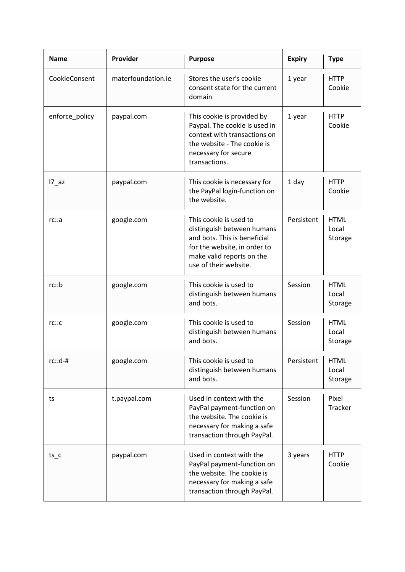| <b>Name</b>    | Provider           | <b>Purpose</b>                                                                                                                                                             | <b>Expiry</b> | <b>Type</b>                     |
|----------------|--------------------|----------------------------------------------------------------------------------------------------------------------------------------------------------------------------|---------------|---------------------------------|
| CookieConsent  | materfoundation.ie | Stores the user's cookie<br>consent state for the current<br>domain                                                                                                        | 1 year        | <b>HTTP</b><br>Cookie           |
| enforce_policy | paypal.com         | This cookie is provided by<br>Paypal. The cookie is used in<br>context with transactions on<br>the website - The cookie is<br>necessary for secure<br>transactions.        | 1 year        | <b>HTTP</b><br>Cookie           |
| $17$ az        | paypal.com         | This cookie is necessary for<br>the PayPal login-function on<br>the website.                                                                                               | 1 day         | <b>HTTP</b><br>Cookie           |
| rc::a          | google.com         | This cookie is used to<br>distinguish between humans<br>and bots. This is beneficial<br>for the website, in order to<br>make valid reports on the<br>use of their website. | Persistent    | <b>HTML</b><br>Local<br>Storage |
| rc::b          | google.com         | This cookie is used to<br>distinguish between humans<br>and bots.                                                                                                          | Session       | <b>HTML</b><br>Local<br>Storage |
| rc::c          | google.com         | This cookie is used to<br>distinguish between humans<br>and bots.                                                                                                          | Session       | <b>HTML</b><br>Local<br>Storage |
| $rc::d-#$      | google.com         | This cookie is used to<br>distinguish between humans<br>and bots.                                                                                                          | Persistent    | <b>HTML</b><br>Local<br>Storage |
| ts             | t.paypal.com       | Used in context with the<br>PayPal payment-function on<br>the website. The cookie is<br>necessary for making a safe<br>transaction through PayPal.                         | Session       | Pixel<br>Tracker                |
| $ts_c$         | paypal.com         | Used in context with the<br>PayPal payment-function on<br>the website. The cookie is<br>necessary for making a safe<br>transaction through PayPal.                         | 3 years       | <b>HTTP</b><br>Cookie           |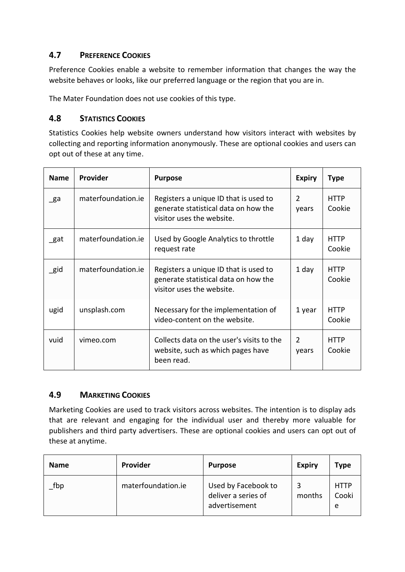### **4.7 PREFERENCE COOKIES**

Preference Cookies enable a website to remember information that changes the way the website behaves or looks, like our preferred language or the region that you are in.

The Mater Foundation does not use cookies of this type.

### **4.8 STATISTICS COOKIES**

 $\overline{a}$ 

Statistics Cookies help website owners understand how visitors interact with websites by collecting and reporting information anonymously. These are optional cookies and users can opt out of these at any time.

| <b>Name</b> | Provider           | <b>Purpose</b>                                                                                             | <b>Expiry</b>          | <b>Type</b>           |
|-------------|--------------------|------------------------------------------------------------------------------------------------------------|------------------------|-----------------------|
| $\_$ ga     | materfoundation.ie | Registers a unique ID that is used to<br>generate statistical data on how the<br>visitor uses the website. | $\mathcal{P}$<br>years | <b>HTTP</b><br>Cookie |
| $\_$ gat    | materfoundation.ie | Used by Google Analytics to throttle<br>request rate                                                       | 1 day                  | <b>HTTP</b><br>Cookie |
| $\_$ gid    | materfoundation.ie | Registers a unique ID that is used to<br>generate statistical data on how the<br>visitor uses the website. | 1 day                  | HTTP<br>Cookie        |
| ugid        | unsplash.com       | Necessary for the implementation of<br>video-content on the website.                                       | 1 year                 | <b>HTTP</b><br>Cookie |
| vuid        | vimeo.com          | Collects data on the user's visits to the<br>website, such as which pages have<br>been read.               | 2<br>years             | <b>HTTP</b><br>Cookie |

### **4.9 MARKETING COOKIES**

Marketing Cookies are used to track visitors across websites. The intention is to display ads that are relevant and engaging for the individual user and thereby more valuable for publishers and third party advertisers. These are optional cookies and users can opt out of these at anytime.

| <b>Name</b>          | <b>Provider</b>    | <b>Purpose</b>                                              | <b>Expiry</b> | Type                      |
|----------------------|--------------------|-------------------------------------------------------------|---------------|---------------------------|
| $\sqrt{\frac{1}{2}}$ | materfoundation.ie | Used by Facebook to<br>deliver a series of<br>advertisement | months        | <b>HTTP</b><br>Cooki<br>e |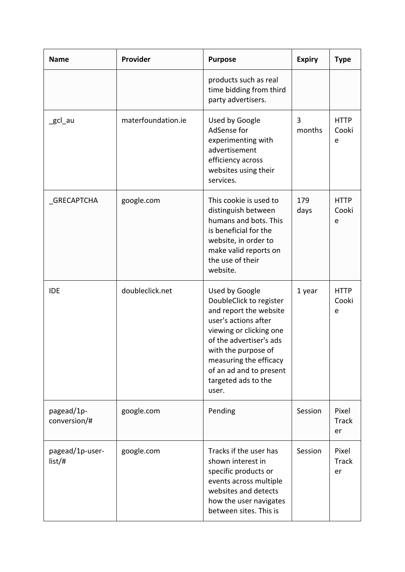| <b>Name</b>                | Provider           | <b>Purpose</b>                                                                                                                                                                                                                                                | <b>Expiry</b> | <b>Type</b>                 |
|----------------------------|--------------------|---------------------------------------------------------------------------------------------------------------------------------------------------------------------------------------------------------------------------------------------------------------|---------------|-----------------------------|
|                            |                    | products such as real<br>time bidding from third<br>party advertisers.                                                                                                                                                                                        |               |                             |
| _gcl_au                    | materfoundation.ie | Used by Google<br>AdSense for<br>experimenting with<br>advertisement<br>efficiency across<br>websites using their<br>services.                                                                                                                                | 3<br>months   | <b>HTTP</b><br>Cooki<br>e   |
| GRECAPTCHA                 | google.com         | This cookie is used to<br>distinguish between<br>humans and bots. This<br>is beneficial for the<br>website, in order to<br>make valid reports on<br>the use of their<br>website.                                                                              | 179<br>days   | <b>HTTP</b><br>Cooki<br>e   |
| <b>IDE</b>                 | doubleclick.net    | Used by Google<br>DoubleClick to register<br>and report the website<br>user's actions after<br>viewing or clicking one<br>of the advertiser's ads<br>with the purpose of<br>measuring the efficacy<br>of an ad and to present<br>targeted ads to the<br>user. | 1 year        | <b>HTTP</b><br>Cooki<br>e   |
| pagead/1p-<br>conversion/# | google.com         | Pending                                                                                                                                                                                                                                                       | Session       | Pixel<br><b>Track</b><br>er |
| pagead/1p-user-<br>list/#  | google.com         | Tracks if the user has<br>shown interest in<br>specific products or<br>events across multiple<br>websites and detects<br>how the user navigates<br>between sites. This is                                                                                     | Session       | Pixel<br><b>Track</b><br>er |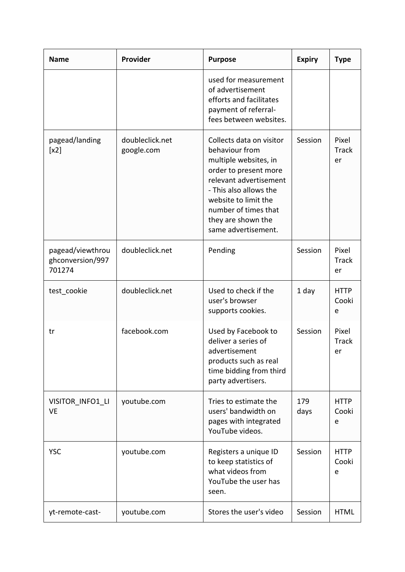| <b>Name</b>                                    | Provider                      | <b>Purpose</b>                                                                                                                                                                                                                                | <b>Expiry</b> | <b>Type</b>                 |
|------------------------------------------------|-------------------------------|-----------------------------------------------------------------------------------------------------------------------------------------------------------------------------------------------------------------------------------------------|---------------|-----------------------------|
|                                                |                               | used for measurement<br>of advertisement<br>efforts and facilitates<br>payment of referral-<br>fees between websites.                                                                                                                         |               |                             |
| pagead/landing<br>[x2]                         | doubleclick.net<br>google.com | Collects data on visitor<br>behaviour from<br>multiple websites, in<br>order to present more<br>relevant advertisement<br>- This also allows the<br>website to limit the<br>number of times that<br>they are shown the<br>same advertisement. | Session       | Pixel<br><b>Track</b><br>er |
| pagead/viewthrou<br>ghconversion/997<br>701274 | doubleclick.net               | Pending                                                                                                                                                                                                                                       | Session       | Pixel<br><b>Track</b><br>er |
| test_cookie                                    | doubleclick.net               | Used to check if the<br>user's browser<br>supports cookies.                                                                                                                                                                                   | 1 day         | <b>HTTP</b><br>Cooki<br>e   |
| tr                                             | facebook.com                  | Used by Facebook to<br>deliver a series of<br>advertisement<br>products such as real<br>time bidding from third<br>party advertisers.                                                                                                         | Session       | Pixel<br><b>Track</b><br>er |
| VISITOR_INFO1_LI<br><b>VE</b>                  | youtube.com                   | Tries to estimate the<br>users' bandwidth on<br>pages with integrated<br>YouTube videos.                                                                                                                                                      | 179<br>days   | <b>HTTP</b><br>Cooki<br>e   |
| <b>YSC</b>                                     | youtube.com                   | Registers a unique ID<br>to keep statistics of<br>what videos from<br>YouTube the user has<br>seen.                                                                                                                                           | Session       | <b>HTTP</b><br>Cooki<br>e   |
| yt-remote-cast-                                | youtube.com                   | Stores the user's video                                                                                                                                                                                                                       | Session       | <b>HTML</b>                 |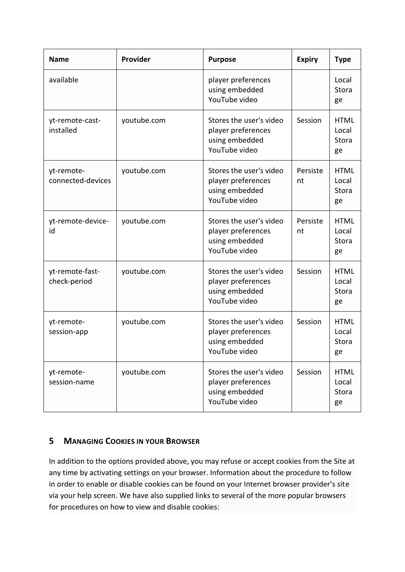| <b>Name</b>                     | Provider    | <b>Purpose</b>                                                                   | <b>Expiry</b>  | <b>Type</b>                         |
|---------------------------------|-------------|----------------------------------------------------------------------------------|----------------|-------------------------------------|
| available                       |             | player preferences<br>using embedded<br>YouTube video                            |                | Local<br>Stora<br>ge                |
| yt-remote-cast-<br>installed    | youtube.com | Stores the user's video<br>player preferences<br>using embedded<br>YouTube video | Session        | <b>HTML</b><br>Local<br>Stora<br>ge |
| yt-remote-<br>connected-devices | youtube.com | Stores the user's video<br>player preferences<br>using embedded<br>YouTube video | Persiste<br>nt | <b>HTML</b><br>Local<br>Stora<br>ge |
| yt-remote-device-<br>id         | youtube.com | Stores the user's video<br>player preferences<br>using embedded<br>YouTube video | Persiste<br>nt | <b>HTML</b><br>Local<br>Stora<br>ge |
| yt-remote-fast-<br>check-period | youtube.com | Stores the user's video<br>player preferences<br>using embedded<br>YouTube video | Session        | <b>HTML</b><br>Local<br>Stora<br>ge |
| yt-remote-<br>session-app       | youtube.com | Stores the user's video<br>player preferences<br>using embedded<br>YouTube video | Session        | <b>HTML</b><br>Local<br>Stora<br>ge |
| yt-remote-<br>session-name      | youtube.com | Stores the user's video<br>player preferences<br>using embedded<br>YouTube video | Session        | <b>HTML</b><br>Local<br>Stora<br>ge |

# **5 MANAGING COOKIES IN YOUR BROWSER**

In addition to the options provided above, you may refuse or accept cookies from the Site at any time by activating settings on your browser. Information about the procedure to follow in order to enable or disable cookies can be found on your Internet browser provider's site via your help screen. We have also supplied links to several of the more popular browsers for procedures on how to view and disable cookies: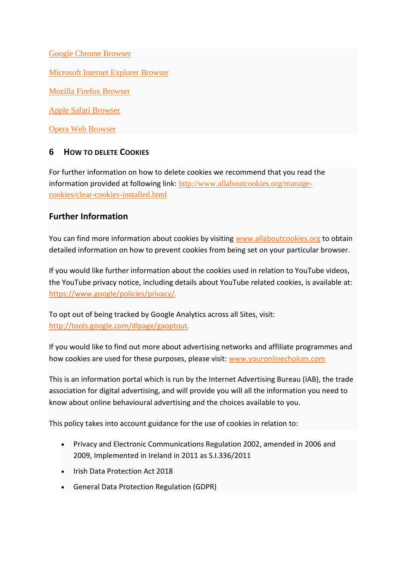[Google Chrome Browser](https://support.google.com/chrome/answer/95647?hl=en)

[Microsoft Internet Explorer Browser](http://windows.microsoft.com/en-IE/windows-vista/Block-or-allow-cookies)

[Mozilla Firefox Browser](https://support.mozilla.org/en-US/kb/enable-and-disable-cookies-website-preferences)

[Apple Safari Browser](https://support.apple.com/en-us/HT201265)

[Opera Web Browser](http://www.opera.com/help/tutorials/security/)

#### **6 HOW TO DELETE COOKIES**

For further information on how to delete cookies we recommend that you read the information provided at following link: [http://www.allaboutcookies.org/manage](http://www.allaboutcookies.org/manage-cookies/clear-cookies-installed.html)[cookies/clear-cookies-installed.html](http://www.allaboutcookies.org/manage-cookies/clear-cookies-installed.html)

#### **Further Information**

You can find more information about cookies by visiting [www.allaboutcookies.org](https://www.allaboutcookies.org/) to obtain detailed information on how to prevent cookies from being set on your particular browser.

If you would like further information about the cookies used in relation to YouTube videos, the YouTube privacy notice, including details about YouTube related cookies, is available at: [https://www.google/policies/privacy/.](https://www.google.co.uk/policies/privacy/)

To opt out of being tracked by Google Analytics across all Sites, visit: [http://tools.google.com/dlpage/gaoptout.](http://tools.google.com/dlpage/gaoptout)

If you would like to find out more about advertising networks and affiliate programmes and how cookies are used for these purposes, please visit: [www.youronlinechoices.com](https://www.youronlinechoices.com/)

This is an information portal which is run by the Internet Advertising Bureau (IAB), the trade association for digital advertising, and will provide you will all the information you need to know about online behavioural advertising and the choices available to you.

This policy takes into account guidance for the use of cookies in relation to:

- Privacy and Electronic Communications Regulation 2002, amended in 2006 and 2009, Implemented in Ireland in 2011 as S.I.336/2011
- Irish Data Protection Act 2018
- General Data Protection Regulation (GDPR)